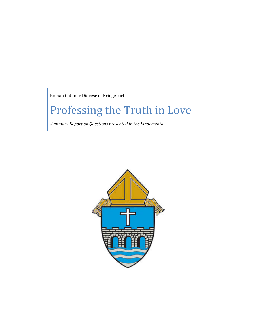Roman Catholic Diocese of Bridgeport

## Professing the Truth in Love

*Summary Report on Questions presented in the Linaementa*

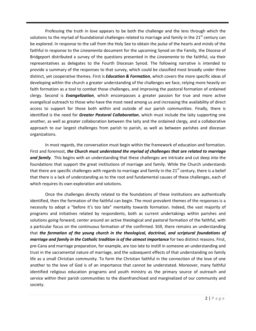Professing the truth in love appears to be both the challenge and the lens through which the solutions to the myriad of foundational challenges related to marriage and family in the  $21<sup>st</sup>$  century can be explored. In response to the call from the Holy See to obtain the pulse of the hearts and minds of the faithful in response to the *Lineamenta* document for the upcoming Synod on the Family, the Diocese of Bridgeport distributed a survey of the questions presented in the *Lineamenta* to the faithful, via their representatives as delegates to the Fourth Diocesan Synod. The following narrative is intended to provide a summary of the responses to that survey, which could be classified most broadly under three distinct, yet cooperative themes. First is *Education & Formation*, which covers the more specific ideas of developing within the church a greater understanding of the challenges we face, relying more heavily on faith formation as a tool to combat those challenges, and improving the pastoral formation of ordained clergy. Second is *Evangelization*, which encompasses a greater passion for true and more active evangelical outreach to those who have the most need among us and increasing the availability of direct access to support for those both within and outside of our parish communities. Finally, there is identified is the need for *Greater Pastoral Collaboration*, which must include the laity supporting one another, as well as greater collaboration between the laity and the ordained clergy, and a collaborative approach to our largest challenges from parish to parish, as well as between parishes and diocesan organizations.

In most regards, the conversation must begin within the framework of education and formation. First and foremost, *the Church must understand the myriad of challenges that are related to marriage and family*. This begins with an understanding that these challenges are intricate and cut deep into the foundations that support the great institutions of marriage and family. While the Church understands that there are specific challenges with regards to marriage and family in the 21<sup>st</sup> century, there is a belief that there is a lack of understanding as to the root and fundamental causes of these challenges, each of which requires its own exploration and solutions.

Once the challenges directly related to the foundations of these institutions are authentically identified, then the formation of the faithful can begin. The most prevalent themes of the responses is a necessity to adopt a "before it's too late" mentality towards formation. Indeed, the vast majority of programs and initiatives related by respondents, both as current undertakings within parishes and solutions going forward, center around an active theological and pastoral formation of the faithful, with a particular focus on the continuous formation of the confirmed. Still, there remains an understanding that *the formation of the young church in the theological, doctrinal, and scriptural foundations of marriage and family in the Catholic tradition is of the utmost importance* for two distinct reasons. First, pre-Cana and marriage preparation, for example, are too late to instill in someone an understanding and trust in the sacramental nature of marriage, and the subsequent effects of that understanding on family life as a small Christian community. To form the Christian faithful in the connection of the love of one another to the love of God is of an importance that cannot be understated. Moreover, many faithful identified religious education programs and youth ministry as the primary source of outreach and service within their parish communities to the disenfranchised and marginalized of our community and society.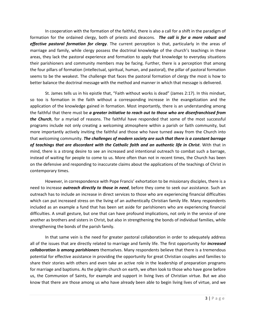In cooperation with the formation of the faithful, there is also a call for a shift in the paradigm of formation for the ordained clergy, both of priests and deacons. *The call is for a more robust and effective pastoral formation for clergy*. The current perception is that, particularly in the areas of marriage and family, while clergy possess the doctrinal knowledge of the church's teachings in these areas, they lack the pastoral experience and formation to apply that knowledge to everyday situations their parishioners and community members may be facing. Further, there is a perception that among the four pillars of formation (intellectual, spiritual, human, and pastoral), the pillar of pastoral formation seems to be the weakest. The challenge that faces the pastoral formation of clergy the most is how to better balance the doctrinal message with the method and manner in which that message is delivered.

St. James tells us in his epistle that, "Faith without works is dead" (James 2:17). In this mindset, so too is formation in the faith without a corresponding increase in the evangelization and the application of the knowledge gained in formation. Most importantly, there is an understanding among the faithful that there must be *a greater initiative to reach out to those who are disenfranchised from the Church*, for a myriad of reasons. The faithful have responded that some of the most successful programs include not only creating a welcoming atmosphere within a parish or faith community, but more importantly actively inviting the faithful and those who have turned away from the Church into that welcoming community. *The challenges of modern society are such that there is a constant barrage of teachings that are discordant with the Catholic faith and an authentic life in Christ*. With that in mind, there is a strong desire to see an increased and intentional outreach to combat such a barrage, instead of waiting for people to come to us. More often than not in recent times, the Church has been on the defensive and responding to inaccurate claims about the applications of the teachings of Christ in contemporary times.

However, in correspondence with Pope Francis' exhortation to be missionary disciples, there is a need to increase *outreach directly to those in need*, before they come to seek our assistance. Such an outreach has to include an increase in direct services to those who are experiencing financial difficulties which can put increased stress on the living of an authentically Christian family life. Many respondents included as an example a fund that has been set aside for parishioners who are experiencing financial difficulties. A small gesture, but one that can have profound implications, not only in the service of one another as brothers and sisters in Christ, but also in strengthening the bonds of individual families, while strengthening the bonds of the parish family.

In that same vein is the need for greater pastoral collaboration in order to adequately address all of the issues that are directly related to marriage and family life. The first opportunity for *increased collaboration is among parishioners* themselves. Many respondents believe that there is a tremendous potential for effective assistance in providing the opportunity for great Christian couples and families to share their stories with others and even take an active role in the leadership of preparation programs for marriage and baptisms. As the pilgrim church on earth, we often look to those who have gone before us, the Communion of Saints, for example and support in living lives of Christian virtue. But we also know that there are those among us who have already been able to begin living lives of virtue, and we